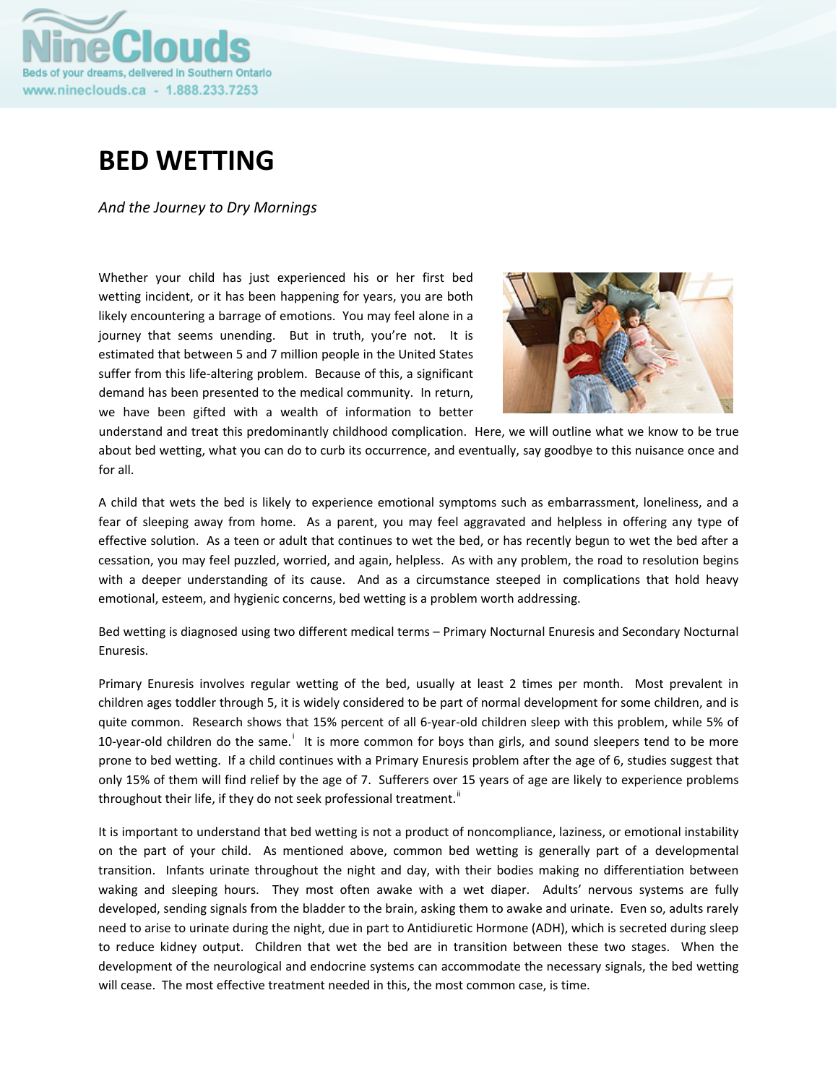

# **BED WETTING**

*And the Journey to Dry Mornings*

Whether your child has just experienced his or her first bed wetting incident, or it has been happening for years, you are both likely encountering a barrage of emotions. You may feel alone in a journey that seems unending. But in truth, you're not. It is estimated that between 5 and 7 million people in the United States suffer from this life-altering problem. Because of this, a significant demand has been presented to the medical community. In return, we have been gifted with a wealth of information to better



understand and treat this predominantly childhood complication. Here, we will outline what we know to be true about bed wetting, what you can do to curb its occurrence, and eventually, say goodbye to this nuisance once and for all.

A child that wets the bed is likely to experience emotional symptoms such as embarrassment, loneliness, and a fear of sleeping away from home. As a parent, you may feel aggravated and helpless in offering any type of effective solution. As a teen or adult that continues to wet the bed, or has recently begun to wet the bed after a cessation, you may feel puzzled, worried, and again, helpless. As with any problem, the road to resolution begins with a deeper understanding of its cause. And as a circumstance steeped in complications that hold heavy emotional, esteem, and hygienic concerns, bed wetting is a problem worth addressing.

Bed wetting is diagnosed using two different medical terms – Primary Nocturnal Enuresis and Secondary Nocturnal Enuresis.

Primary Enuresis involves regular wetting of the bed, usually at least 2 times per month. Most prevalent in children ages toddler through 5, it is widely considered to be part of normal development for some children, and is quite common. Research shows that 15% percent of all 6‐year‐old children sleep with this problem, while 5% of 10-year-old ch[i](#page-4-0)ldren do the same.<sup>i</sup> It is more common for boys than girls, and sound sleepers tend to be more prone to bed wetting. If a child continues with a Primary Enuresis problem after the age of 6, studies suggest that only 15% of them will find relief by the age of 7. Sufferers over 15 years of age are likely to experience problems throughout their life, if they do not seek professional treatment.<sup>[ii](#page-4-1)</sup>

It is important to understand that bed wetting is not a product of noncompliance, laziness, or emotional instability on the part of your child. As mentioned above, common bed wetting is generally part of a developmental transition. Infants urinate throughout the night and day, with their bodies making no differentiation between waking and sleeping hours. They most often awake with a wet diaper. Adults' nervous systems are fully developed, sending signals from the bladder to the brain, asking them to awake and urinate. Even so, adults rarely need to arise to urinate during the night, due in part to Antidiuretic Hormone (ADH), which is secreted during sleep to reduce kidney output. Children that wet the bed are in transition between these two stages. When the development of the neurological and endocrine systems can accommodate the necessary signals, the bed wetting will cease. The most effective treatment needed in this, the most common case, is time.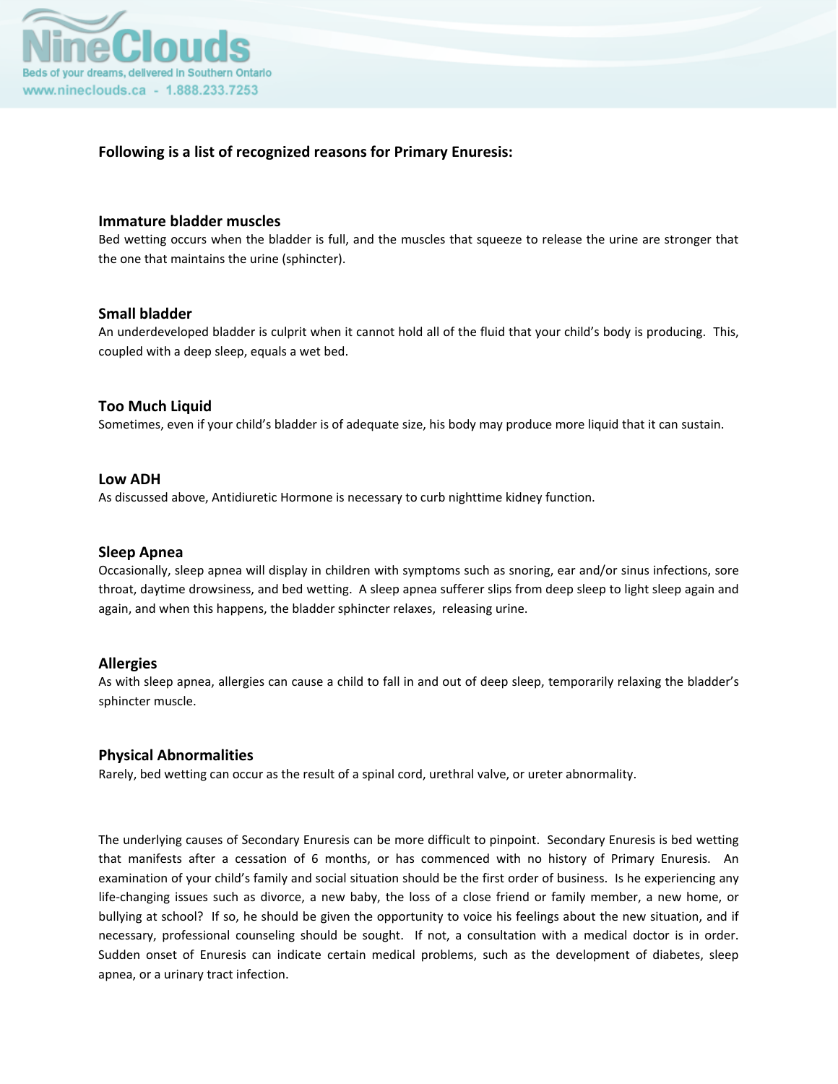

## **Following is a list of recognized reasons for Primary Enuresis:**

#### **Immature bladder muscles**

Bed wetting occurs when the bladder is full, and the muscles that squeeze to release the urine are stronger that the one that maintains the urine (sphincter).

### **Small bladder**

An underdeveloped bladder is culprit when it cannot hold all of the fluid that your child's body is producing. This, coupled with a deep sleep, equals a wet bed.

### **Too Much Liquid**

Sometimes, even if your child's bladder is of adequate size, his body may produce more liquid that it can sustain.

#### **Low ADH**

As discussed above, Antidiuretic Hormone is necessary to curb nighttime kidney function.

#### **Sleep Apnea**

Occasionally, sleep apnea will display in children with symptoms such as snoring, ear and/or sinus infections, sore throat, daytime drowsiness, and bed wetting. A sleep apnea sufferer slips from deep sleep to light sleep again and again, and when this happens, the bladder sphincter relaxes, releasing urine.

#### **Allergies**

As with sleep apnea, allergies can cause a child to fall in and out of deep sleep, temporarily relaxing the bladder's sphincter muscle.

#### **Physical Abnormalities**

Rarely, bed wetting can occur as the result of a spinal cord, urethral valve, or ureter abnormality.

The underlying causes of Secondary Enuresis can be more difficult to pinpoint. Secondary Enuresis is bed wetting that manifests after a cessation of 6 months, or has commenced with no history of Primary Enuresis. An examination of your child's family and social situation should be the first order of business. Is he experiencing any life-changing issues such as divorce, a new baby, the loss of a close friend or family member, a new home, or bullying at school? If so, he should be given the opportunity to voice his feelings about the new situation, and if necessary, professional counseling should be sought. If not, a consultation with a medical doctor is in order. Sudden onset of Enuresis can indicate certain medical problems, such as the development of diabetes, sleep apnea, or a urinary tract infection.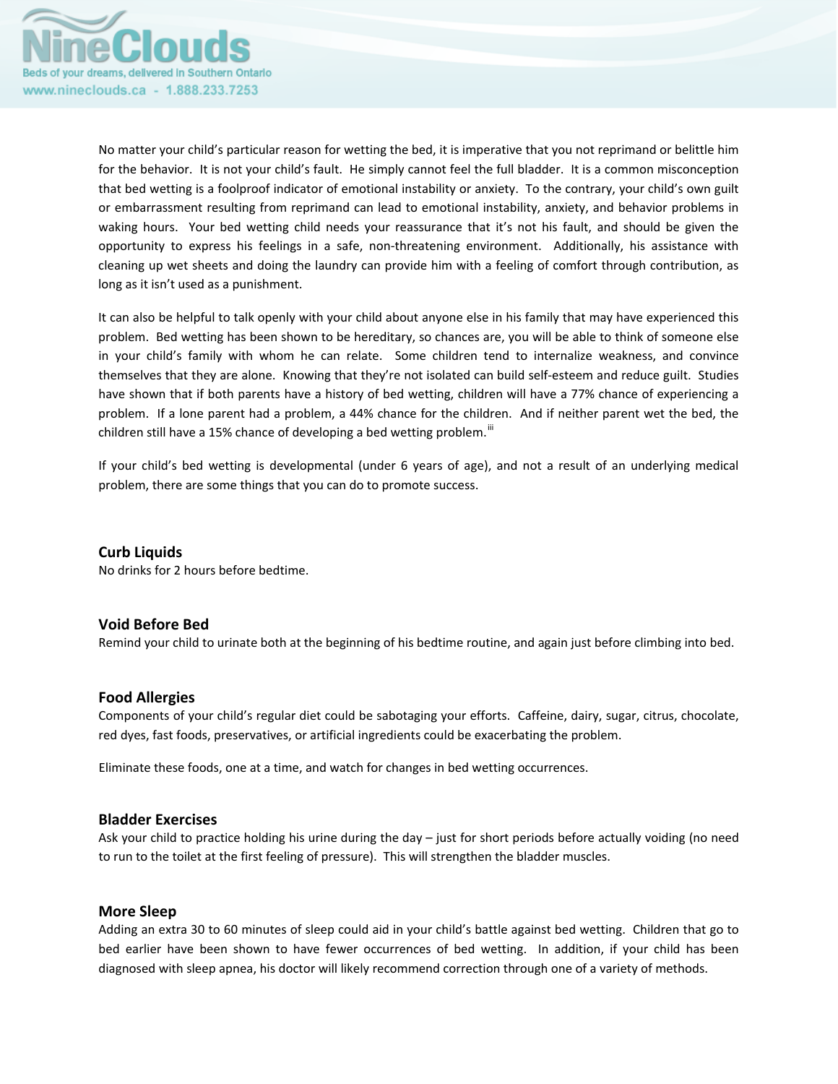

No matter your child's particular reason for wetting the bed, it is imperative that you not reprimand or belittle him for the behavior. It is not your child's fault. He simply cannot feel the full bladder. It is a common misconception that bed wetting is a foolproof indicator of emotional instability or anxiety. To the contrary, your child's own guilt or embarrassment resulting from reprimand can lead to emotional instability, anxiety, and behavior problems in waking hours. Your bed wetting child needs your reassurance that it's not his fault, and should be given the opportunity to express his feelings in a safe, non‐threatening environment. Additionally, his assistance with cleaning up wet sheets and doing the laundry can provide him with a feeling of comfort through contribution, as long as it isn't used as a punishment.

It can also be helpful to talk openly with your child about anyone else in his family that may have experienced this problem. Bed wetting has been shown to be hereditary, so chances are, you will be able to think of someone else in your child's family with whom he can relate. Some children tend to internalize weakness, and convince themselves that they are alone. Knowing that they're not isolated can build self‐esteem and reduce guilt. Studies have shown that if both parents have a history of bed wetting, children will have a 77% chance of experiencing a problem. If a lone parent had a problem, a 44% chance for the children. And if neither parent wet the bed, the children still have a 15% chance of developing a bed wetting problem.<sup>III</sup>

If your child's bed wetting is developmental (under 6 years of age), and not a result of an underlying medical problem, there are some things that you can do to promote success.

#### **Curb Liquids**

No drinks for 2 hours before bedtime.

#### **Void Before Bed**

Remind your child to urinate both at the beginning of his bedtime routine, and again just before climbing into bed.

#### **Food Allergies**

Components of your child's regular diet could be sabotaging your efforts. Caffeine, dairy, sugar, citrus, chocolate, red dyes, fast foods, preservatives, or artificial ingredients could be exacerbating the problem.

Eliminate these foods, one at a time, and watch for changes in bed wetting occurrences.

#### **Bladder Exercises**

Ask your child to practice holding his urine during the day – just for short periods before actually voiding (no need to run to the toilet at the first feeling of pressure). This will strengthen the bladder muscles.

#### **More Sleep**

Adding an extra 30 to 60 minutes of sleep could aid in your child's battle against bed wetting. Children that go to bed earlier have been shown to have fewer occurrences of bed wetting. In addition, if your child has been diagnosed with sleep apnea, his doctor will likely recommend correction through one of a variety of methods.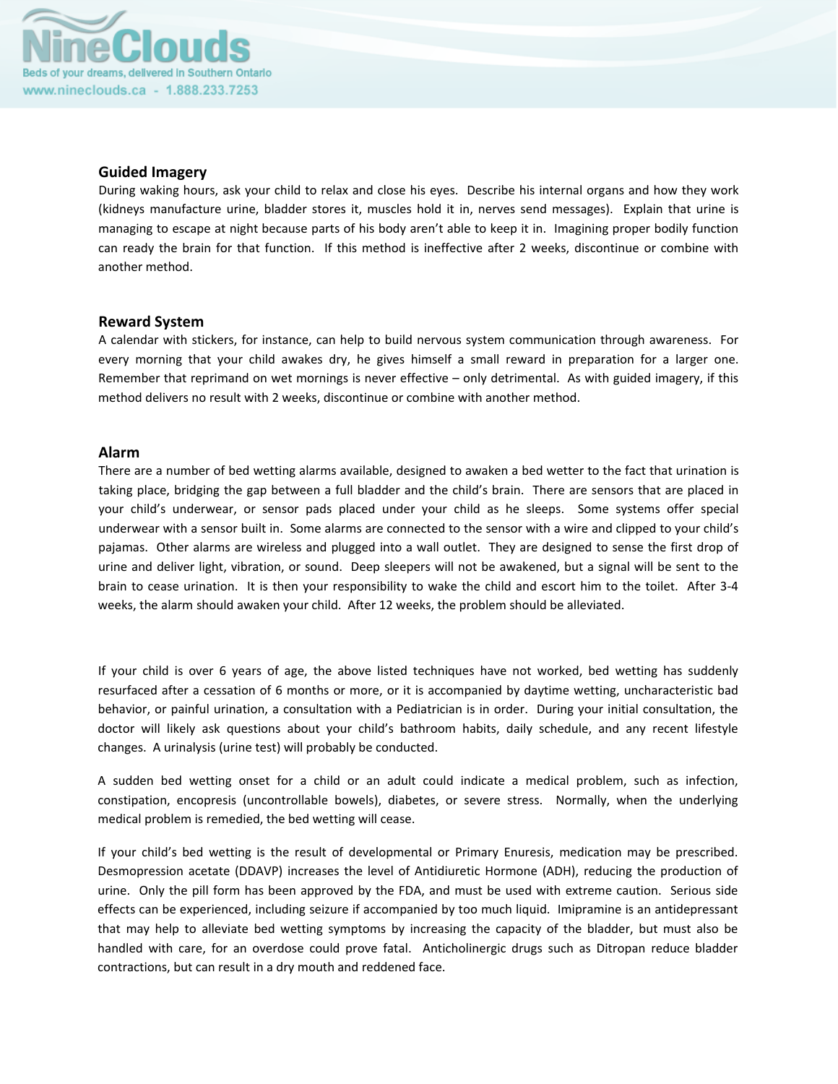

#### **Guided Imagery**

During waking hours, ask your child to relax and close his eyes. Describe his internal organs and how they work (kidneys manufacture urine, bladder stores it, muscles hold it in, nerves send messages). Explain that urine is managing to escape at night because parts of his body aren't able to keep it in. Imagining proper bodily function can ready the brain for that function. If this method is ineffective after 2 weeks, discontinue or combine with another method.

#### **Reward System**

A calendar with stickers, for instance, can help to build nervous system communication through awareness. For every morning that your child awakes dry, he gives himself a small reward in preparation for a larger one. Remember that reprimand on wet mornings is never effective – only detrimental. As with guided imagery, if this method delivers no result with 2 weeks, discontinue or combine with another method.

### **Alarm**

There are a number of bed wetting alarms available, designed to awaken a bed wetter to the fact that urination is taking place, bridging the gap between a full bladder and the child's brain. There are sensors that are placed in your child's underwear, or sensor pads placed under your child as he sleeps. Some systems offer special underwear with a sensor built in. Some alarms are connected to the sensor with a wire and clipped to your child's pajamas. Other alarms are wireless and plugged into a wall outlet. They are designed to sense the first drop of urine and deliver light, vibration, or sound. Deep sleepers will not be awakened, but a signal will be sent to the brain to cease urination. It is then your responsibility to wake the child and escort him to the toilet. After 3‐4 weeks, the alarm should awaken your child. After 12 weeks, the problem should be alleviated.

If your child is over 6 years of age, the above listed techniques have not worked, bed wetting has suddenly resurfaced after a cessation of 6 months or more, or it is accompanied by daytime wetting, uncharacteristic bad behavior, or painful urination, a consultation with a Pediatrician is in order. During your initial consultation, the doctor will likely ask questions about your child's bathroom habits, daily schedule, and any recent lifestyle changes. A urinalysis (urine test) will probably be conducted.

A sudden bed wetting onset for a child or an adult could indicate a medical problem, such as infection, constipation, encopresis (uncontrollable bowels), diabetes, or severe stress. Normally, when the underlying medical problem is remedied, the bed wetting will cease.

If your child's bed wetting is the result of developmental or Primary Enuresis, medication may be prescribed. Desmopression acetate (DDAVP) increases the level of Antidiuretic Hormone (ADH), reducing the production of urine. Only the pill form has been approved by the FDA, and must be used with extreme caution. Serious side effects can be experienced, including seizure if accompanied by too much liquid. Imipramine is an antidepressant that may help to alleviate bed wetting symptoms by increasing the capacity of the bladder, but must also be handled with care, for an overdose could prove fatal. Anticholinergic drugs such as Ditropan reduce bladder contractions, but can result in a dry mouth and reddened face.